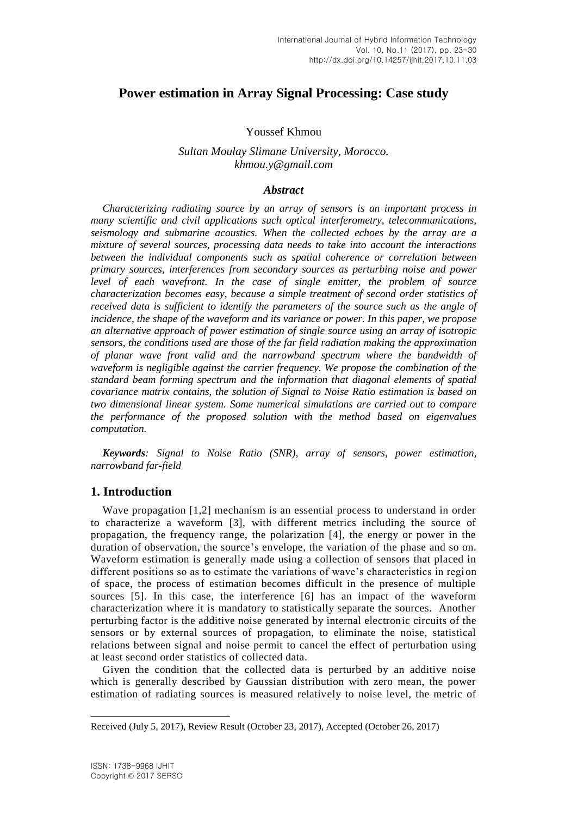# **Power estimation in Array Signal Processing: Case study**

### Youssef Khmou

### *Sultan Moulay Slimane University, Morocco. khmou.y@gmail.com*

#### *Abstract*

*Characterizing radiating source by an array of sensors is an important process in many scientific and civil applications such optical interferometry, telecommunications, seismology and submarine acoustics. When the collected echoes by the array are a mixture of several sources, processing data needs to take into account the interactions between the individual components such as spatial coherence or correlation between primary sources, interferences from secondary sources as perturbing noise and power level of each wavefront. In the case of single emitter, the problem of source characterization becomes easy, because a simple treatment of second order statistics of received data is sufficient to identify the parameters of the source such as the angle of incidence, the shape of the waveform and its variance or power. In this paper, we propose an alternative approach of power estimation of single source using an array of isotropic sensors, the conditions used are those of the far field radiation making the approximation of planar wave front valid and the narrowband spectrum where the bandwidth of waveform is negligible against the carrier frequency. We propose the combination of the standard beam forming spectrum and the information that diagonal elements of spatial covariance matrix contains, the solution of Signal to Noise Ratio estimation is based on two dimensional linear system. Some numerical simulations are carried out to compare the performance of the proposed solution with the method based on eigenvalues computation.*

*Keywords: Signal to Noise Ratio (SNR), array of sensors, power estimation, narrowband far-field*

### **1. Introduction**

Wave propagation [1,2] mechanism is an essential process to understand in order to characterize a waveform [3], with different metrics including the source of propagation, the frequency range, the polarization [4], the energy or power in the duration of observation, the source's envelope, the variation of the phase and so on. Waveform estimation is generally made using a collection of sensors that placed in different positions so as to estimate the variations of wave's characteristics in region of space, the process of estimation becomes difficult in the presence of multiple sources [5]. In this case, the interference [6] has an impact of the waveform characterization where it is mandatory to statistically separate the sources. Another perturbing factor is the additive noise generated by internal electronic circuits of the sensors or by external sources of propagation, to eliminate the noise, statistical relations between signal and noise permit to cancel the effect of perturbation using at least second order statistics of collected data.

Given the condition that the collected data is perturbed by an additive noise which is generally described by Gaussian distribution with zero mean, the power estimation of radiating sources is measured relatively to noise level, the metric of

l

Received (July 5, 2017), Review Result (October 23, 2017), Accepted (October 26, 2017)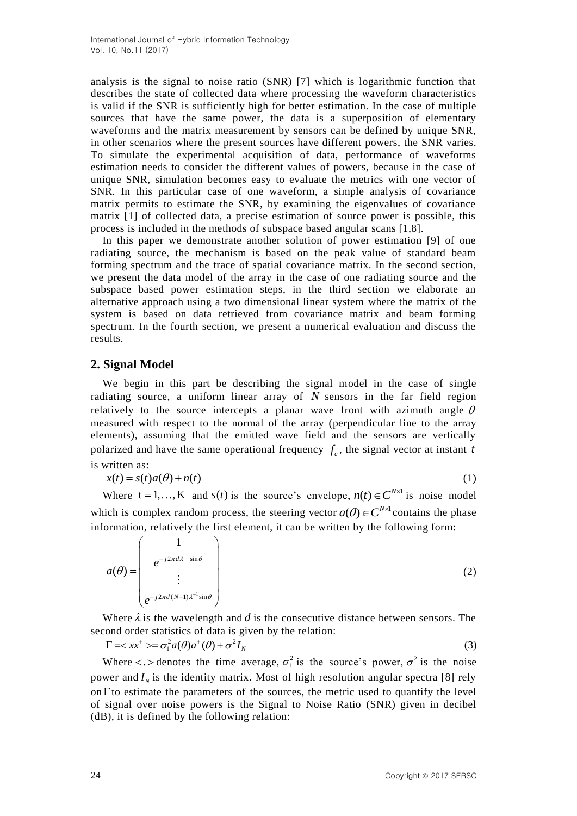analysis is the signal to noise ratio (SNR) [7] which is logarithmic function that describes the state of collected data where processing the waveform characteristics is valid if the SNR is sufficiently high for better estimation. In the case of multiple sources that have the same power, the data is a superposition of elementary waveforms and the matrix measurement by sensors can be defined by unique SNR, in other scenarios where the present sources have different powers, the SNR varies. To simulate the experimental acquisition of data, performance of waveforms estimation needs to consider the different values of powers, because in the case of unique SNR, simulation becomes easy to evaluate the metrics with one vector of SNR. In this particular case of one waveform, a simple analysis of covariance matrix permits to estimate the SNR, by examining the eigenvalues of covariance matrix [1] of collected data, a precise estimation of source power is possible, this process is included in the methods of subspace based angular scans [1,8].

In this paper we demonstrate another solution of power estimation [9] of one radiating source, the mechanism is based on the peak value of standard beam forming spectrum and the trace of spatial covariance matrix. In the second section, we present the data model of the array in the case of one radiating source and the subspace based power estimation steps, in the third section we elaborate an alternative approach using a two dimensional linear system where the matrix of the system is based on data retrieved from covariance matrix and beam forming spectrum. In the fourth section, we present a numerical evaluation and discuss the results.

# **2. Signal Model**

We begin in this part be describing the signal model in the case of single radiating source, a uniform linear array of *N* sensors in the far field region relatively to the source intercepts a planar wave front with azimuth angle  $\theta$ measured with respect to the normal of the array (perpendicular line to the array elements), assuming that the emitted wave field and the sensors are vertically polarized and have the same operational frequency  $f_c$ , the signal vector at instant t is written as:

$$
x(t) = s(t)a(\theta) + n(t)
$$
\n(1)

Where  $t = 1,..., K$  and  $s(t)$  is the source's envelope,  $n(t) \in C^{N \times 1}$  is noise model which is complex random process, the steering vector  $a(\theta) \in C^{N \times 1}$  contains the phase information, relatively the first element, it can be written by the following form:

$$
a(\theta) = \begin{pmatrix} 1 \\ e^{-j2\pi d\lambda^{-1}\sin\theta} \\ \vdots \\ e^{-j2\pi d(N-1)\lambda^{-1}\sin\theta} \end{pmatrix}
$$
 (2)

Where  $\lambda$  is the wavelength and  $d$  is the consecutive distance between sensors. The second order statistics of data is given by the relation:

 $\Gamma = \langle xx^+ \rangle = \sigma_1^2 a(\theta) a^+(\theta) + \sigma^2 I_N$  (3)

Where  $\lt$ . > denotes the time average,  $\sigma_1^2$  is the source's power,  $\sigma^2$  is the noise power and  $I_N$  is the identity matrix. Most of high resolution angular spectra [8] rely on  $\Gamma$  to estimate the parameters of the sources, the metric used to quantify the level of signal over noise powers is the Signal to Noise Ratio (SNR) given in decibel (dB), it is defined by the following relation: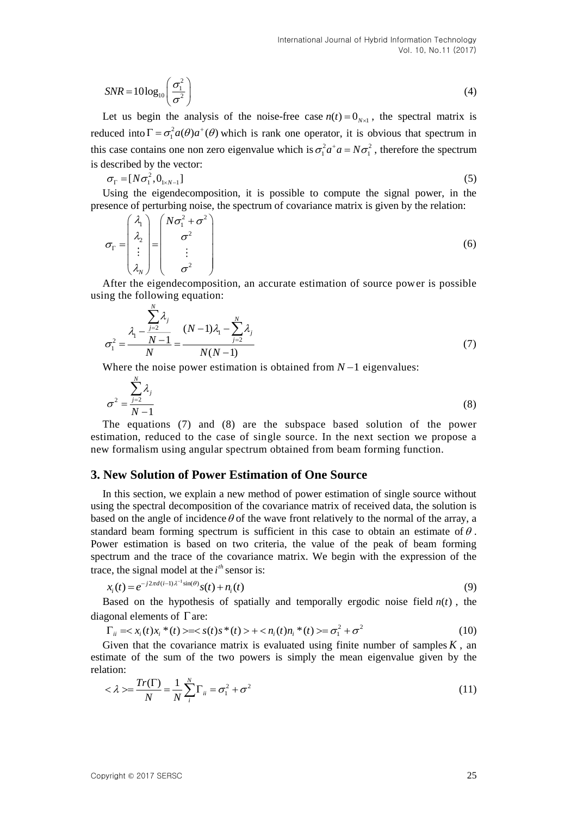$$
SNR = 10\log_{10}\left(\frac{\sigma_1^2}{\sigma^2}\right) \tag{4}
$$

Let us begin the analysis of the noise-free case  $n(t) = 0_{N \times 1}$ , the spectral matrix is reduced into  $\Gamma = \sigma_1^2 a(\theta) a^+(\theta)$  which is rank one operator, it is obvious that spectrum in this case contains one non zero eigenvalue which is  $\sigma_1^2 a^+ a = N \sigma_1^2$ , therefore the spectrum is described by the vector:

$$
\sigma_{\Gamma} = [N\sigma_1^2, 0_{1 \times N-1}] \tag{5}
$$

Using the eigendecomposition, it is possible to compute the signal power, in the presence of perturbing noise, the spectrum of covariance matrix is given by the relation:

$$
\sigma_{\Gamma} = \begin{pmatrix} \lambda_1 \\ \lambda_2 \\ \vdots \\ \lambda_N \end{pmatrix} = \begin{pmatrix} N\sigma_1^2 + \sigma^2 \\ \sigma^2 \\ \vdots \\ \sigma^2 \end{pmatrix}
$$
 (6)

After the eigendecomposition, an accurate estimation of source power is possible using the following equation:

$$
\sigma_1^2 = \frac{\lambda_1 - \frac{\sum_{j=2}^N \lambda_j}{N}}{N} = \frac{(N-1)\lambda_1 - \sum_{j=2}^N \lambda_j}{N(N-1)}
$$
(7)

Where the noise power estimation is obtained from  $N-1$  eigenvalues:

$$
\sigma^2 = \frac{\sum_{j=2}^{N} \lambda_j}{N-1}
$$
 (8)

The equations (7) and (8) are the subspace based solution of the power estimation, reduced to the case of single source. In the next section we propose a new formalism using angular spectrum obtained from beam forming function.

### **3. New Solution of Power Estimation of One Source**

In this section, we explain a new method of power estimation of single source without using the spectral decomposition of the covariance matrix of received data, the solution is based on the angle of incidence  $\theta$  of the wave front relatively to the normal of the array, a standard beam forming spectrum is sufficient in this case to obtain an estimate of  $\theta$ . Power estimation is based on two criteria, the value of the peak of beam forming spectrum and the trace of the covariance matrix. We begin with the expression of the trace, the signal model at the  $i<sup>th</sup>$  sensor is:

$$
x_i(t) = e^{-j2\pi d(i-1)\lambda^{-1}\sin(\theta)}s(t) + n_i(t)
$$
\n(9)

Based on the hypothesis of spatially and temporally ergodic noise field  $n(t)$ , the diagonal elements of  $\Gamma$  are:

$$
\Gamma_{ii} = \langle x_i(t)x_i^*(t) \rangle = \langle s(t)s^*(t) \rangle + \langle n_i(t)n_i^*(t) \rangle = \sigma_1^2 + \sigma^2 \tag{10}
$$

Given that the covariance matrix is evaluated using finite number of samples  $K$ , an estimate of the sum of the two powers is simply the mean eigenvalue given by the relation:

$$
\langle \lambda \rangle = \frac{Tr(\Gamma)}{N} = \frac{1}{N} \sum_{i}^{N} \Gamma_{ii} = \sigma_1^2 + \sigma^2 \tag{11}
$$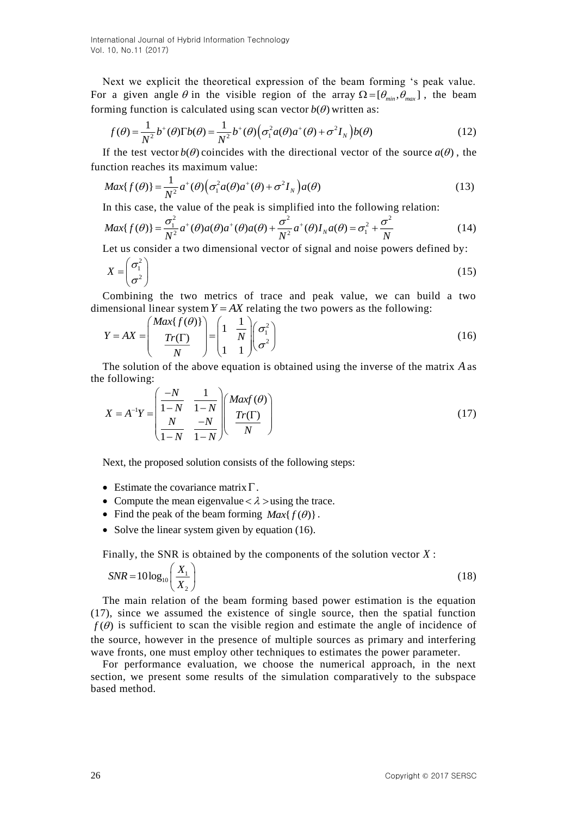International Journal of Hybrid Information Technology Vol. 10, No.11 (2017)

Next we explicit the theoretical expression of the beam forming 's peak value. For a given angle  $\theta$  in the visible region of the array  $\Omega = [\theta_{min}, \theta_{max}]$ , the beam forming function is calculated using scan vector  $b(\theta)$  written as:

$$
f(\theta) = \frac{1}{N^2} b^+(\theta) \Gamma b(\theta) = \frac{1}{N^2} b^+(\theta) \Big( \sigma_1^2 a(\theta) a^+(\theta) + \sigma^2 I_N \Big) b(\theta)
$$
 (12)

If the test vector  $b(\theta)$  coincides with the directional vector of the source  $a(\theta)$ , the function reaches its maximum value:

$$
Max\{f(\theta)\} = \frac{1}{N^2}a^+(\theta)\Big(\sigma_1^2a(\theta)a^+(\theta) + \sigma^2I_N\Big)a(\theta)
$$
\n(13)

$$
\text{Max}\{f(\theta)\} = \frac{\sigma_1^2}{N^2} a^+(\theta) (\sigma_1 a(\theta) a^+(\theta) + \sigma T_N) a(\theta) \tag{13}
$$
\nIn this case, the value of the peak is simplified into the following relation:\n
$$
\text{Max}\{f(\theta)\} = \frac{\sigma_1^2}{N^2} a^+(\theta) a(\theta) a^+(\theta) a(\theta) + \frac{\sigma^2}{N^2} a^+(\theta) I_N a(\theta) = \sigma_1^2 + \frac{\sigma^2}{N} \tag{14}
$$
\nLet us consider a two dimensional vector of signal and noise powers defined by:

Let us consider a two dimensional vector of signal and noise powers defined by:

$$
X = \begin{pmatrix} \sigma_1^2 \\ \sigma^2 \end{pmatrix} \tag{15}
$$

Combining the two metrics of trace and peak value, we can build a two dimensional linear system  $Y = AX$  relating the two powers as the following:

$$
Y = AX = \left(\frac{Max\{f(\theta)\}}{Tr(\Gamma)}\right) = \left(\frac{1}{N}\frac{1}{N}\right)\left(\frac{\sigma_1^2}{\sigma^2}\right)
$$
(16)

The solution of the above equation is obtained using the inverse of the matrix *A* as the following:

following:  
\n
$$
X = A^{-1}Y = \begin{pmatrix} \frac{-N}{1-N} & \frac{1}{1-N} \\ \frac{N}{1-N} & \frac{-N}{1-N} \end{pmatrix} \begin{pmatrix} Maxf(\theta) \\ \frac{Tr(\Gamma)}{N} \end{pmatrix}
$$
\n(17)

Next, the proposed solution consists of the following steps:

- Estimate the covariance matrix  $\Gamma$ .
- Compute the mean eigenvalue  $< \lambda >$ using the trace.
- Find the peak of the beam forming  $Max{f(\theta)}$ .
- Solve the linear system given by equation  $(16)$ .

Finally, the SNR is obtained by the components of the solution vector *X* :

$$
SNR = 10\log_{10}\left(\frac{X_1}{X_2}\right) \tag{18}
$$

The main relation of the beam forming based power estimation is the equation (17), since we assumed the existence of single source, then the spatial function  $f(\theta)$  is sufficient to scan the visible region and estimate the angle of incidence of the source, however in the presence of multiple sources as primary and interfering wave fronts, one must employ other techniques to estimates the power parameter.

For performance evaluation, we choose the numerical approach, in the next section, we present some results of the simulation comparatively to the subspace based method.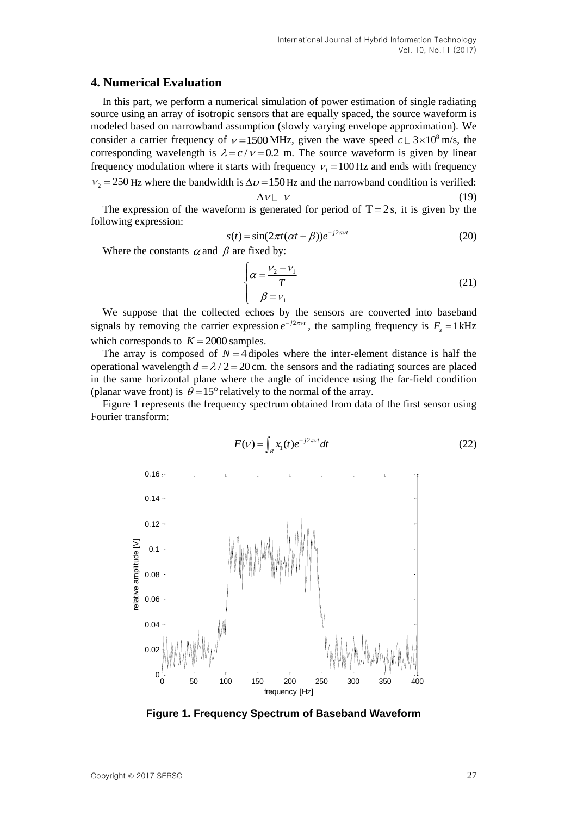### **4. Numerical Evaluation**

In this part, we perform a numerical simulation of power estimation of single radiating source using an array of isotropic sensors that are equally spaced, the source waveform is modeled based on narrowband assumption (slowly varying envelope approximation). We consider a carrier frequency of  $v = 1500 \text{ MHz}$ , given the wave speed  $c \text{ } \square 3 \times 10^8 \text{ m/s}$ , the corresponding wavelength is  $\lambda = c/v = 0.2$  m. The source waveform is given by linear frequency modulation where it starts with frequency  $v_1 = 100$  Hz and ends with frequency  $v_2 = 250$  Hz where the bandwidth is  $\Delta v = 150$  Hz and the narrowband condition is verified:

$$
\Delta v \Box v \tag{19}
$$

The expression of the waveform is generated for period of  $T = 2s$ , it is given by the following expression:

$$
s(t) = \sin(2\pi t(\alpha t + \beta))e^{-j2\pi vt}
$$
 (20)

Where the constants  $\alpha$  and  $\beta$  are fixed by:

$$
\begin{cases}\n\alpha = \frac{V_2 - V_1}{T} \\
\beta = V_1\n\end{cases}
$$
\n(21)

We suppose that the collected echoes by the sensors are converted into baseband signals by removing the carrier expression  $e^{-j2\pi vt}$ , the sampling frequency is  $F_s = 1 \text{ kHz}$ which corresponds to  $K = 2000$  samples.

The array is composed of  $N = 4$  dipoles where the inter-element distance is half the operational wavelength  $d = \lambda / 2 = 20$  cm. the sensors and the radiating sources are placed in the same horizontal plane where the angle of incidence using the far-field condition (planar wave front) is  $\theta = 15^{\circ}$  relatively to the normal of the array.

Figure 1 represents the frequency spectrum obtained from data of the first sensor using Fourier transform:

$$
F(\nu) = \int_{R} x_1(t)e^{-j2\pi\nu t}dt
$$
\n(22)



**Figure 1. Frequency Spectrum of Baseband Waveform**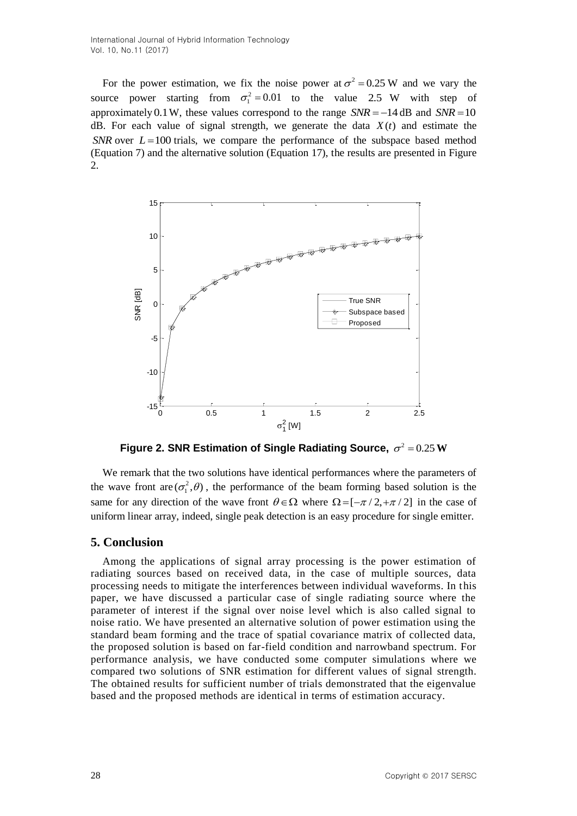International Journal of Hybrid Information Technology Vol. 10, No.11 (2017)

For the power estimation, we fix the noise power at  $\sigma^2 = 0.25$  W and we vary the source power starting from  $\sigma_1^2 = 0.01$  to the value 2.5 W with step of approximately 0.1 W, these values correspond to the range  $SNR = -14$  dB and  $SNR = 10$ dB. For each value of signal strength, we generate the data  $X(t)$  and estimate the *SNR* over  $L = 100$  trials, we compare the performance of the subspace based method (Equation 7) and the alternative solution (Equation 17), the results are presented in Figure  $\mathcal{D}_{\mathcal{L}}$ 



Figure 2. SNR Estimation of Single Radiating Source,  $\sigma^2 = 0.25$  W

We remark that the two solutions have identical performances where the parameters of the wave front are  $(\sigma_1^2, \theta)$ , the performance of the beam forming based solution is the same for any direction of the wave front  $\theta \in \Omega$  where  $\Omega = [\pi/2, \pi/2]$  in the case of uniform linear array, indeed, single peak detection is an easy procedure for single emitter.

#### **5. Conclusion**

Among the applications of signal array processing is the power estimation of radiating sources based on received data, in the case of multiple sources, data processing needs to mitigate the interferences between individual waveforms. In this paper, we have discussed a particular case of single radiating source where the parameter of interest if the signal over noise level which is also called signal to noise ratio. We have presented an alternative solution of power estimation using the standard beam forming and the trace of spatial covariance matrix of collected data, the proposed solution is based on far-field condition and narrowband spectrum. For performance analysis, we have conducted some computer simulations where we compared two solutions of SNR estimation for different values of signal strength. The obtained results for sufficient number of trials demonstrated that the eigenvalue based and the proposed methods are identical in terms of estimation accuracy.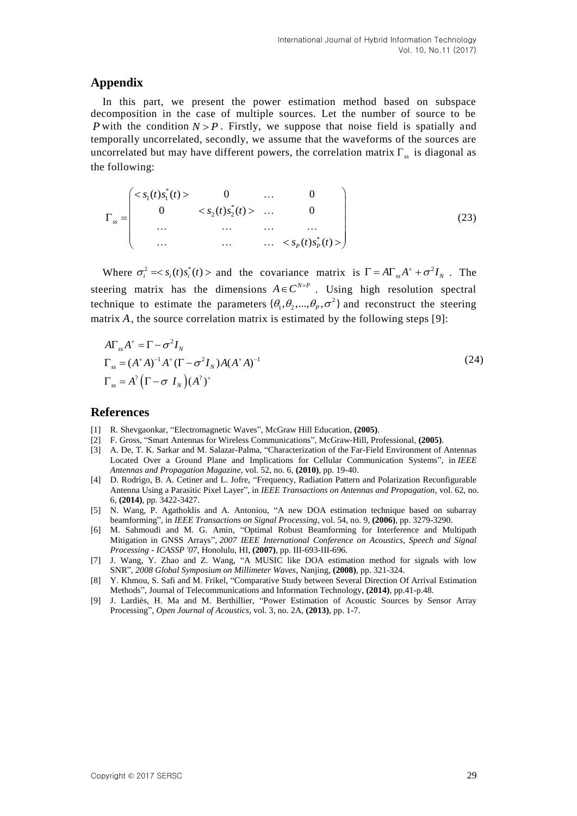## **Appendix**

In this part, we present the power estimation method based on subspace decomposition in the case of multiple sources. Let the number of source to be *P* with the condition  $N > P$ . Firstly, we suppose that noise field is spatially and temporally uncorrelated, secondly, we assume that the waveforms of the sources are uncorrelated but may have different powers, the correlation matrix  $\Gamma_{ss}$  is diagonal as the following:

$$
\Gamma_{ss} = \begin{pmatrix}\n< s_1(t)s_1^*(t) > 0 & \dots & 0 \\
0 & < s_2(t)s_2^*(t) > \dots & 0 \\
\vdots & \vdots & \ddots & \vdots \\
0 & \dots & \dots & \dots & \dots \\
\vdots & \vdots & \ddots & \vdots \\
0 & \dots & \dots & \dots & \dots \\
\end{pmatrix} \tag{23}
$$

Where  $\sigma_i^2 = \langle s_i(t)s_i^*(t) \rangle$  and the covariance matrix is  $\Gamma = A \Gamma_{ss} A^+ + \sigma^2 I_N$ . The steering matrix has the dimensions  $A \in C^{N \times P}$ . Using high resolution spectral technique to estimate the parameters  $\{\theta_1, \theta_2, ..., \theta_p, \sigma^2\}$  and reconstruct the steering matrix A, the source correlation matrix is estimated by the following steps [9]:

$$
A\Gamma_{ss}A^+ = \Gamma - \sigma^2 I_N
$$
  
\n
$$
\Gamma_{ss} = (A^+A)^{-1}A^+ (\Gamma - \sigma^2 I_N)A(A^+A)^{-1}
$$
  
\n
$$
\Gamma_{ss} = A^2 (\Gamma - \sigma I_N)(A^2)^+
$$
\n(24)

#### **References**

- [1] R. Shevgaonkar, "Electromagnetic Waves", McGraw Hill Education, **(2005)**.
- [2] F. Gross, "Smart Antennas for Wireless Communications", McGraw-Hill, Professional, **(2005)**.
- [3] A. De, T. K. Sarkar and M. Salazar-Palma, "Characterization of the Far-Field Environment of Antennas Located Over a Ground Plane and Implications for Cellular Communication Systems", in *IEEE Antennas and Propagation Magazine*, vol. 52, no. 6, **(2010)**, pp. 19-40.
- [4] D. Rodrigo, B. A. Cetiner and L. Jofre, "Frequency, Radiation Pattern and Polarization Reconfigurable Antenna Using a Parasitic Pixel Layer", in *IEEE Transactions on Antennas and Propagation*, vol. 62, no. 6, **(2014)**, pp. 3422-3427.
- [5] N. Wang, P. Agathoklis and A. Antoniou, "A new DOA estimation technique based on subarray beamforming", in *IEEE Transactions on Signal Processing*, vol. 54, no. 9, **(2006)**, pp. 3279-3290.
- [6] M. Sahmoudi and M. G. Amin, "Optimal Robust Beamforming for Interference and Multipath Mitigation in GNSS Arrays", *2007 IEEE International Conference on Acoustics, Speech and Signal Processing - ICASSP '07*, Honolulu, HI, **(2007)**, pp. III-693-III-696.
- [7] J. Wang, Y. Zhao and Z. Wang, "A MUSIC like DOA estimation method for signals with low SNR", *2008 Global Symposium on Millimeter Waves*, Nanjing, **(2008)**, pp. 321-324.
- [8] Y. Khmou, S. Safi and M. Frikel, "Comparative Study between Several Direction Of Arrival Estimation Methods", Journal of Telecommunications and Information Technology, **(2014)**, pp.41-p.48.
- [9] J. Lardiès, H. Ma and M. Berthillier, "Power Estimation of Acoustic Sources by Sensor Array Processing", *Open Journal of Acoustics*, vol. 3, no. 2A, **(2013)**, pp. 1-7.